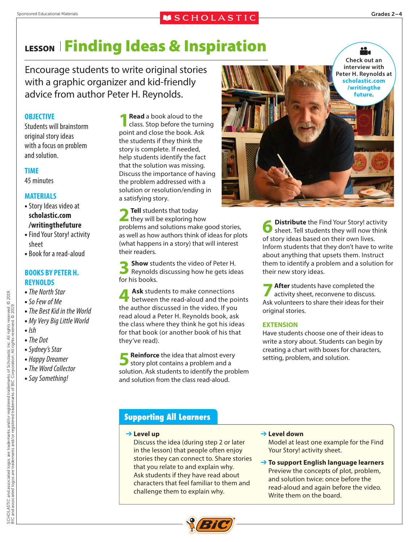### **MSCHOLASTIC**

# LESSONFinding Ideas & Inspiration

Encourage students to write original stories with a graphic organizer and kid-friendly advice from author Peter H. Reynolds.

#### **OBJECTIVE**

Students will brainstorm original story ideas with a focus on problem and solution.

#### **TIME**

45 minutes

#### **MATERIALS**

- **•**Story Ideas video at **scholastic.com /writingthefuture**
- **•** Find Your Story! activity sheet
- **•** Book for a read-aloud

#### **BOOKS BY PETER H. REYNOLDS**

- **•** *The North Star*
- **•** *So Few of Me*
- **•** *The Best Kid in the World*
- **•** *My Very Big Little World*
- **•** *Ish*
- **•** *The Dot*
- **•** *Sydney's Star*
- **•** *Happy Dreamer*
- **•** *The Word Collector*
- **•** *Say Something!*

**1 Read** a book aloud to the class. Stop before the turning point and close the book. Ask the students if they think the story is complete. If needed, help students identify the fact that the solution was missing. Discuss the importance of having the problem addressed with a solution or resolution/ending in a satisfying story.

**2 Tell** students that today they will be exploring how problems and solutions make good stories, as well as how authors think of ideas for plots (what happens in a story) that will interest their readers.

**3 Show** students the video of Peter H.<br>Reynolds discussing how he gets ideas for his books.

**4 Ask** students to make connections between the read-aloud and the points the author discussed in the video. If you read aloud a Peter H. Reynolds book, ask the class where they think he got his ideas for that book (or another book of his that they've read).

**5 Reinforce** the idea that almost every story plot contains a problem and a **Reinforce** the idea that almost every solution. Ask students to identify the problem and solution from the class read-aloud.



**Distribute** the Find Your Story! activity sheet. Tell students they will now think of story ideas based on their own lives. Inform students that they don't have to write about anything that upsets them. Instruct them to identify a problem and a solution for their new story ideas.

**7 After** students have completed the activity sheet, reconvene to discuss. Ask volunteers to share their ideas for their original stories.

#### **EXTENSION**

Have students choose one of their ideas to write a story about. Students can begin by creating a chart with boxes for characters, setting, problem, and solution.

## **Supporting All Learners**

➔ **Level up**

Discuss the idea (during step 2 or later in the lesson) that people often enjoy stories they can connect to. Share stories that you relate to and explain why. Ask students if they have read about characters that feel familiar to them and challenge them to explain why.

➔ **Level down**

Model at least one example for the Find Your Story! activity sheet.

➔ **To support English language learners**  Preview the concepts of plot, problem, and solution twice: once before the read-aloud and again before the video. Write them on the board.